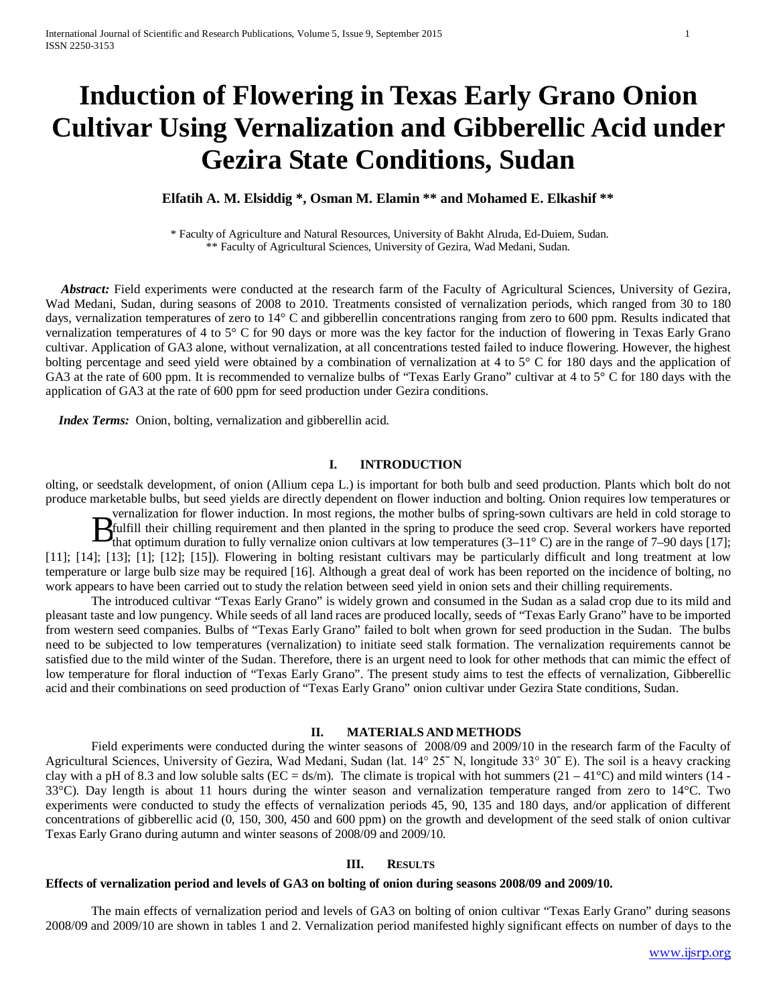# **Induction of Flowering in Texas Early Grano Onion Cultivar Using Vernalization and Gibberellic Acid under Gezira State Conditions, Sudan**

# **Elfatih A. M. Elsiddig \*, Osman M. Elamin \*\* and Mohamed E. Elkashif \*\***

\* Faculty of Agriculture and Natural Resources, University of Bakht Alruda, Ed-Duiem, Sudan. \*\* Faculty of Agricultural Sciences, University of Gezira, Wad Medani, Sudan.

 *Abstract:* Field experiments were conducted at the research farm of the Faculty of Agricultural Sciences, University of Gezira, Wad Medani, Sudan, during seasons of 2008 to 2010. Treatments consisted of vernalization periods, which ranged from 30 to 180 days, vernalization temperatures of zero to 14° C and gibberellin concentrations ranging from zero to 600 ppm. Results indicated that vernalization temperatures of 4 to 5° C for 90 days or more was the key factor for the induction of flowering in Texas Early Grano cultivar. Application of GA3 alone, without vernalization, at all concentrations tested failed to induce flowering. However, the highest bolting percentage and seed yield were obtained by a combination of vernalization at 4 to 5° C for 180 days and the application of GA3 at the rate of 600 ppm. It is recommended to vernalize bulbs of "Texas Early Grano" cultivar at 4 to 5° C for 180 days with the application of GA3 at the rate of 600 ppm for seed production under Gezira conditions.

*Index Terms:* Onion, bolting, vernalization and gibberellin acid.

#### **I. INTRODUCTION**

olting, or seedstalk development, of onion (Allium cepa L.) is important for both bulb and seed production. Plants which bolt do not produce marketable bulbs, but seed yields are directly dependent on flower induction and bolting. Onion requires low temperatures or

vernalization for flower induction. In most regions, the mother bulbs of spring-sown cultivars are held in cold storage to fulfill their chilling requirement and then planted in the spring to produce the seed crop. Several workers have reported that optimum duration to fully vernalize onion cultivars at low temperatures  $(3-11^{\circ} \text{ C})$  are in the range of 7–90 days [17]; [11]; [14]; [13]; [1]; [12]; [15]). Flowering in bolting resistant cultivars may be particularly difficult and long treatment at low temperature or large bulb size may be required [16]. Although a great deal of work has been reported on the incidence of bolting, no work appears to have been carried out to study the relation between seed yield in onion sets and their chilling requirements.  $\mathbf{B}_{\mathrm{t}}^{\mathrm{i}}$ 

The introduced cultivar "Texas Early Grano" is widely grown and consumed in the Sudan as a salad crop due to its mild and pleasant taste and low pungency. While seeds of all land races are produced locally, seeds of "Texas Early Grano" have to be imported from western seed companies. Bulbs of "Texas Early Grano" failed to bolt when grown for seed production in the Sudan. The bulbs need to be subjected to low temperatures (vernalization) to initiate seed stalk formation. The vernalization requirements cannot be satisfied due to the mild winter of the Sudan. Therefore, there is an urgent need to look for other methods that can mimic the effect of low temperature for floral induction of "Texas Early Grano". The present study aims to test the effects of vernalization, Gibberellic acid and their combinations on seed production of "Texas Early Grano" onion cultivar under Gezira State conditions, Sudan.

# **II. MATERIALS AND METHODS**

Field experiments were conducted during the winter seasons of 2008/09 and 2009/10 in the research farm of the Faculty of Agricultural Sciences, University of Gezira, Wad Medani, Sudan (lat. 14° 25ˉ N, longitude 33° 30ˉ E). The soil is a heavy cracking clay with a pH of 8.3 and low soluble salts (EC = ds/m). The climate is tropical with hot summers  $(21 - 41^{\circ}C)$  and mild winters (14 -33°C). Day length is about 11 hours during the winter season and vernalization temperature ranged from zero to 14°C. Two experiments were conducted to study the effects of vernalization periods 45, 90, 135 and 180 days, and/or application of different concentrations of gibberellic acid (0, 150, 300, 450 and 600 ppm) on the growth and development of the seed stalk of onion cultivar Texas Early Grano during autumn and winter seasons of 2008/09 and 2009/10.

#### **III. RESULTS**

# **Effects of vernalization period and levels of GA3 on bolting of onion during seasons 2008/09 and 2009/10.**

The main effects of vernalization period and levels of GA3 on bolting of onion cultivar "Texas Early Grano" during seasons 2008/09 and 2009/10 are shown in tables 1 and 2. Vernalization period manifested highly significant effects on number of days to the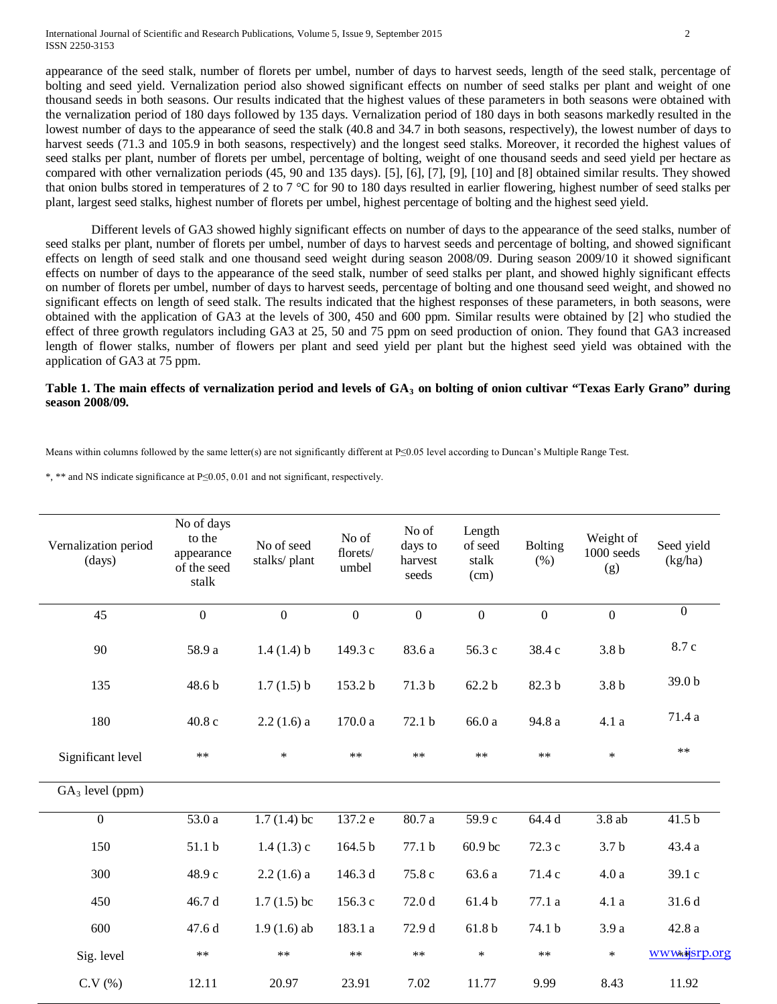appearance of the seed stalk, number of florets per umbel, number of days to harvest seeds, length of the seed stalk, percentage of bolting and seed yield. Vernalization period also showed significant effects on number of seed stalks per plant and weight of one thousand seeds in both seasons. Our results indicated that the highest values of these parameters in both seasons were obtained with the vernalization period of 180 days followed by 135 days. Vernalization period of 180 days in both seasons markedly resulted in the lowest number of days to the appearance of seed the stalk (40.8 and 34.7 in both seasons, respectively), the lowest number of days to harvest seeds (71.3 and 105.9 in both seasons, respectively) and the longest seed stalks. Moreover, it recorded the highest values of seed stalks per plant, number of florets per umbel, percentage of bolting, weight of one thousand seeds and seed yield per hectare as compared with other vernalization periods (45, 90 and 135 days). [5], [6], [7], [9], [10] and [8] obtained similar results. They showed that onion bulbs stored in temperatures of 2 to 7 °C for 90 to 180 days resulted in earlier flowering, highest number of seed stalks per plant, largest seed stalks, highest number of florets per umbel, highest percentage of bolting and the highest seed yield.

Different levels of GA3 showed highly significant effects on number of days to the appearance of the seed stalks, number of seed stalks per plant, number of florets per umbel, number of days to harvest seeds and percentage of bolting, and showed significant effects on length of seed stalk and one thousand seed weight during season 2008/09. During season 2009/10 it showed significant effects on number of days to the appearance of the seed stalk, number of seed stalks per plant, and showed highly significant effects on number of florets per umbel, number of days to harvest seeds, percentage of bolting and one thousand seed weight, and showed no significant effects on length of seed stalk. The results indicated that the highest responses of these parameters, in both seasons, were obtained with the application of GA3 at the levels of 300, 450 and 600 ppm. Similar results were obtained by [2] who studied the effect of three growth regulators including GA3 at 25, 50 and 75 ppm on seed production of onion. They found that GA3 increased length of flower stalks, number of flowers per plant and seed yield per plant but the highest seed yield was obtained with the application of GA3 at 75 ppm.

#### **Table 1. The main effects of vernalization period and levels of GA3 on bolting of onion cultivar "Texas Early Grano" during season 2008/09.**

Means within columns followed by the same letter(s) are not significantly different at P≤0.05 level according to Duncan's Multiple Range Test.

\*, \*\* and NS indicate significance at P≤0.05, 0.01 and not significant, respectively.

| Vernalization period<br>(days) | No of days<br>to the<br>appearance<br>of the seed<br>stalk | No of seed<br>stalks/plant | No of<br>florets/<br>umbel | No of<br>days to<br>harvest<br>seeds | Length<br>of seed<br>stalk<br>(cm) | <b>Bolting</b><br>(% ) | Weight of<br>1000 seeds<br>(g) | Seed yield<br>(kg/ha) |
|--------------------------------|------------------------------------------------------------|----------------------------|----------------------------|--------------------------------------|------------------------------------|------------------------|--------------------------------|-----------------------|
| 45                             | $\mathbf{0}$                                               | $\boldsymbol{0}$           | $\boldsymbol{0}$           | $\boldsymbol{0}$                     | $\boldsymbol{0}$                   | $\overline{0}$         | $\boldsymbol{0}$               | $\overline{0}$        |
| 90                             | 58.9 a                                                     | 1.4(1.4) b                 | 149.3 c                    | 83.6 a                               | 56.3 c                             | 38.4 c                 | 3.8 <sub>b</sub>               | 8.7 c                 |
| 135                            | 48.6 b                                                     | 1.7(1.5) b                 | 153.2 b                    | 71.3 b                               | 62.2 <sub>b</sub>                  | 82.3 b                 | 3.8 <sub>b</sub>               | 39.0 <sub>b</sub>     |
| 180                            | 40.8 c                                                     | $2.2(1.6)$ a               | 170.0 a                    | 72.1 b                               | 66.0 a                             | 94.8 a                 | 4.1a                           | 71.4 a                |
| Significant level              | $\ast\ast$                                                 | $\ast$                     | $\ast\ast$                 | $\ast\ast$                           | $\ast\ast$                         | $**$                   | $\ast$                         | $\ast\ast$            |
| $GA_3$ level (ppm)             |                                                            |                            |                            |                                      |                                    |                        |                                |                       |
| $\overline{0}$                 | 53.0 a                                                     | $1.7(1.4)$ bc              | 137.2 e                    | 80.7a                                | 59.9c                              | 64.4d                  | 3.8ab                          | 41.5 <sub>b</sub>     |
| 150                            | 51.1 b                                                     | 1.4(1.3)c                  | 164.5 b                    | 77.1 b                               | 60.9 bc                            | 72.3 c                 | 3.7 <sub>b</sub>               | 43.4 a                |
| 300                            | 48.9 c                                                     | $2.2(1.6)$ a               | 146.3 d                    | 75.8 c                               | 63.6 a                             | 71.4 c                 | 4.0a                           | 39.1 c                |
| 450                            | 46.7 d                                                     | $1.7(1.5)$ bc              | 156.3 c                    | 72.0 d                               | 61.4b                              | 77.1 a                 | 4.1 a                          | 31.6 d                |
| 600                            | 47.6 d                                                     | $1.9(1.6)$ ab              | 183.1 a                    | 72.9 d                               | 61.8 b                             | 74.1 b                 | 3.9a                           | 42.8 a                |
| Sig. level                     | $\ast\ast$                                                 | $\ast\ast$                 | $\ast\ast$                 | $\ast\ast$                           | $\ast$                             | $\ast\ast$             | $\ast$                         | www.ijsrp.org         |
| C.V(%)                         | 12.11                                                      | 20.97                      | 23.91                      | 7.02                                 | 11.77                              | 9.99                   | 8.43                           | 11.92                 |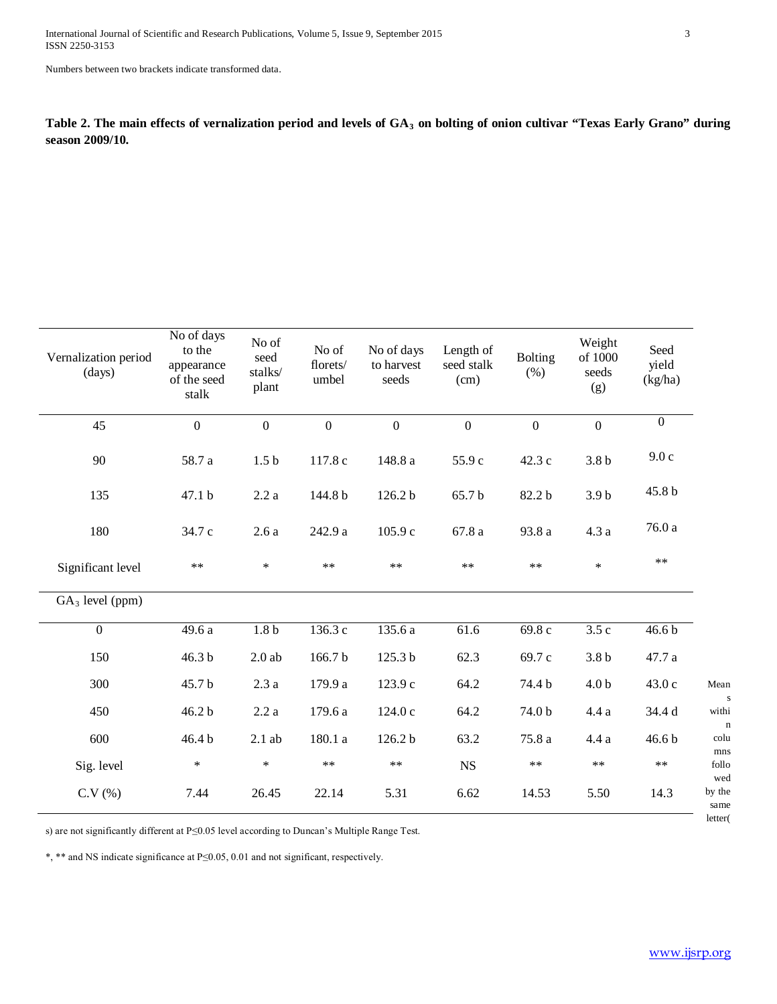Numbers between two brackets indicate transformed data.

Table 2. The main effects of vernalization period and levels of GA<sub>3</sub> on bolting of onion cultivar "Texas Early Grano" during **season 2009/10.**

| Vernalization period<br>(days) | No of days<br>to the<br>appearance<br>of the seed<br>stalk | No of<br>seed<br>stalks/<br>plant | No of<br>florets/<br>umbel | No of days<br>to harvest<br>seeds | Length of<br>seed stalk<br>(cm) | <b>Bolting</b><br>(% ) | Weight<br>of 1000<br>seeds<br>(g) | Seed<br>yield<br>(kg/ha) |                   |
|--------------------------------|------------------------------------------------------------|-----------------------------------|----------------------------|-----------------------------------|---------------------------------|------------------------|-----------------------------------|--------------------------|-------------------|
| 45                             | $\mathbf{0}$                                               | $\overline{0}$                    | $\overline{0}$             | $\overline{0}$                    | $\overline{0}$                  | $\mathbf{0}$           | $\mathbf{0}$                      | $\overline{0}$           |                   |
| 90                             | 58.7 a                                                     | 1.5 <sub>b</sub>                  | 117.8 c                    | 148.8 a                           | 55.9 c                          | 42.3 c                 | 3.8 <sub>b</sub>                  | 9.0c                     |                   |
| 135                            | 47.1 b                                                     | 2.2a                              | 144.8 b                    | $126.2 b$                         | 65.7 b                          | 82.2 b                 | 3.9 <sub>b</sub>                  | 45.8 b                   |                   |
| 180                            | 34.7 c                                                     | 2.6a                              | 242.9 a                    | 105.9 c                           | 67.8a                           | 93.8 a                 | 4.3a                              | 76.0a                    |                   |
| Significant level              | $\ast\ast$                                                 | $\ast$                            | $\ast\ast$                 | $\ast\ast$                        | $\ast\ast$                      | $\ast\ast$             | $\ast$                            | $**$                     |                   |
| $GA_3$ level (ppm)             |                                                            |                                   |                            |                                   |                                 |                        |                                   |                          |                   |
| $\mathbf{0}$                   | 49.6 a                                                     | $1.8\,\mathrm{b}$                 | 136.3 c                    | 135.6 a                           | 61.6                            | 69.8 c                 | 3.5c                              | 46.6 <sub>b</sub>        |                   |
| 150                            | 46.3 b                                                     | $2.0$ ab                          | 166.7b                     | 125.3 b                           | 62.3                            | 69.7 c                 | 3.8 <sub>b</sub>                  | 47.7 a                   |                   |
| 300                            | 45.7 b                                                     | 2.3a                              | 179.9 a                    | 123.9 c                           | 64.2                            | 74.4 b                 | 4.0 <sub>b</sub>                  | 43.0 c                   | Mean              |
| 450                            | 46.2 <sub>b</sub>                                          | 2.2a                              | 179.6 a                    | 124.0c                            | 64.2                            | 74.0 b                 | 4.4a                              | 34.4 d                   |                   |
| 600                            | 46.4 b                                                     | $2.1$ ab                          | 180.1 a                    | 126.2 b                           | 63.2                            | 75.8 a                 | 4.4a                              | 46.6 b                   |                   |
| Sig. level                     | $\ast$                                                     | $\ast$                            | $\ast\ast$                 | $\ast\ast$                        | NS                              | $***$                  | $\ast\ast$                        | $***$                    |                   |
| C.V(%)                         | 7.44                                                       | 26.45                             | 22.14                      | 5.31                              | 6.62                            | 14.53                  | 5.50                              | 14.3                     | by the<br>letter( |

s) are not significantly different at P≤0.05 level according to Duncan's Multiple Range Test.

\*, \*\* and NS indicate significance at P≤0.05, 0.01 and not significant, respectively.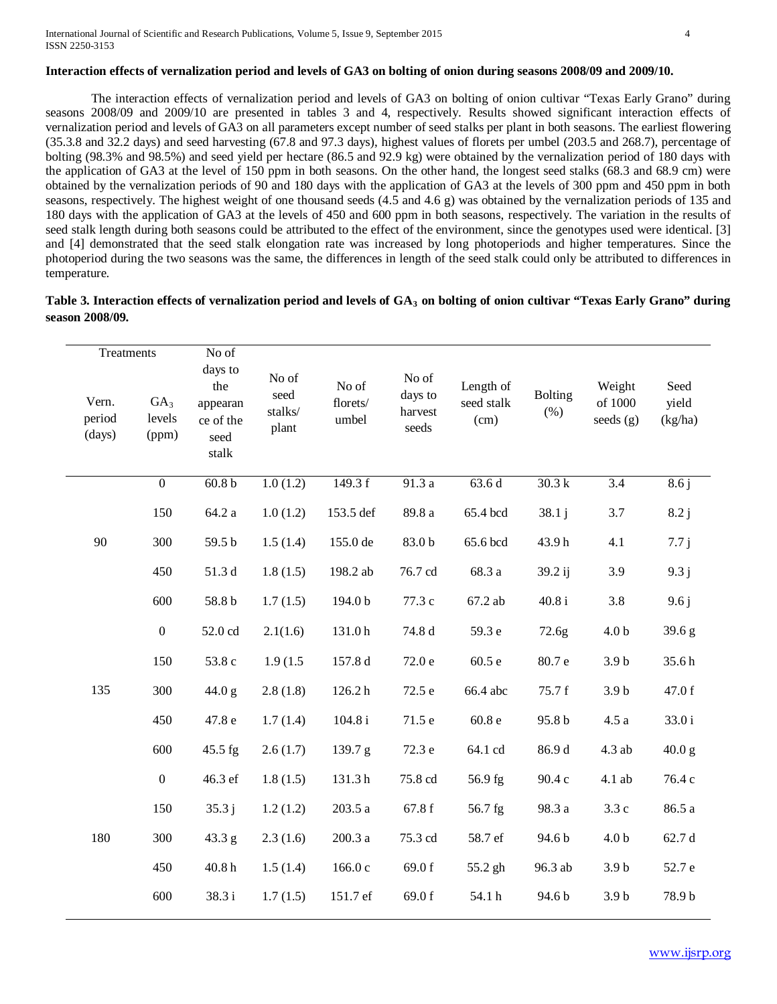# **Interaction effects of vernalization period and levels of GA3 on bolting of onion during seasons 2008/09 and 2009/10.**

The interaction effects of vernalization period and levels of GA3 on bolting of onion cultivar "Texas Early Grano" during seasons 2008/09 and 2009/10 are presented in tables 3 and 4, respectively. Results showed significant interaction effects of vernalization period and levels of GA3 on all parameters except number of seed stalks per plant in both seasons. The earliest flowering (35.3.8 and 32.2 days) and seed harvesting (67.8 and 97.3 days), highest values of florets per umbel (203.5 and 268.7), percentage of bolting (98.3% and 98.5%) and seed yield per hectare (86.5 and 92.9 kg) were obtained by the vernalization period of 180 days with the application of GA3 at the level of 150 ppm in both seasons. On the other hand, the longest seed stalks (68.3 and 68.9 cm) were obtained by the vernalization periods of 90 and 180 days with the application of GA3 at the levels of 300 ppm and 450 ppm in both seasons, respectively. The highest weight of one thousand seeds (4.5 and 4.6 g) was obtained by the vernalization periods of 135 and 180 days with the application of GA3 at the levels of 450 and 600 ppm in both seasons, respectively. The variation in the results of seed stalk length during both seasons could be attributed to the effect of the environment, since the genotypes used were identical. [3] and [4] demonstrated that the seed stalk elongation rate was increased by long photoperiods and higher temperatures. Since the photoperiod during the two seasons was the same, the differences in length of the seed stalk could only be attributed to differences in temperature.

| Table 3. Interaction effects of vernalization period and levels of GA <sub>3</sub> on bolting of onion cultivar "Texas Early Grano" during |  |
|--------------------------------------------------------------------------------------------------------------------------------------------|--|
| season 2008/09.                                                                                                                            |  |

| Treatments                |                                    | No of                                                    |                                   |                            |                                      |                                 |                        |                                  |                          |
|---------------------------|------------------------------------|----------------------------------------------------------|-----------------------------------|----------------------------|--------------------------------------|---------------------------------|------------------------|----------------------------------|--------------------------|
| Vern.<br>period<br>(days) | GA <sub>3</sub><br>levels<br>(ppm) | days to<br>the<br>appearan<br>ce of the<br>seed<br>stalk | No of<br>seed<br>stalks/<br>plant | No of<br>florets/<br>umbel | No of<br>days to<br>harvest<br>seeds | Length of<br>seed stalk<br>(cm) | <b>Bolting</b><br>(% ) | Weight<br>of 1000<br>seeds $(g)$ | Seed<br>yield<br>(kg/ha) |
|                           | $\overline{0}$                     | 60.8 <sub>b</sub>                                        | 1.0(1.2)                          | 149.3 f                    | 91.3a                                | 63.6d                           | 30.3 k                 | $\overline{3.4}$                 | 8.6j                     |
|                           | 150                                | 64.2 a                                                   | 1.0(1.2)                          | 153.5 def                  | 89.8 a                               | 65.4 bcd                        | 38.1 j                 | 3.7                              | 8.2j                     |
| 90                        | 300                                | 59.5 b                                                   | 1.5(1.4)                          | 155.0 de                   | 83.0 b                               | 65.6 bcd                        | 43.9h                  | 4.1                              | 7.7j                     |
|                           | 450                                | $51.3\;\rm d$                                            | 1.8(1.5)                          | 198.2 ab                   | 76.7 cd                              | 68.3 a                          | 39.2 ij                | 3.9                              | 9.3j                     |
|                           | 600                                | $58.8\,\mathrm{b}$                                       | 1.7(1.5)                          | 194.0 b                    | 77.3 c                               | $67.2$ ab                       | 40.8i                  | 3.8                              | 9.6j                     |
|                           | $\boldsymbol{0}$                   | 52.0 cd                                                  | 2.1(1.6)                          | 131.0h                     | 74.8 d                               | 59.3 e                          | 72.6g                  | 4.0 <sub>b</sub>                 | 39.6 g                   |
|                           | 150                                | 53.8 c                                                   | 1.9(1.5)                          | 157.8 d                    | 72.0 <sub>e</sub>                    | 60.5e                           | 80.7 e                 | 3.9 <sub>b</sub>                 | 35.6h                    |
| 135                       | 300                                | 44.0 g                                                   | 2.8(1.8)                          | 126.2 h                    | $72.5\;e$                            | 66.4 abc                        | 75.7 f                 | 3.9 <sub>b</sub>                 | 47.0 f                   |
|                           | 450                                | 47.8 e                                                   | 1.7(1.4)                          | 104.8 i                    | 71.5 e                               | 60.8e                           | 95.8 b                 | 4.5a                             | 33.0i                    |
|                           | 600                                | 45.5 fg                                                  | 2.6(1.7)                          | 139.7 g                    | 72.3 e                               | 64.1 cd                         | 86.9 d                 | 4.3 ab                           | 40.0 g                   |
|                           | $\mathbf{0}$                       | 46.3 ef                                                  | 1.8(1.5)                          | 131.3h                     | 75.8 cd                              | 56.9 fg                         | 90.4 c                 | 4.1 ab                           | 76.4 c                   |
|                           | 150                                | 35.3j                                                    | 1.2(1.2)                          | 203.5 a                    | 67.8 f                               | 56.7 fg                         | 98.3 a                 | 3.3c                             | 86.5 a                   |
| 180                       | 300                                | 43.3 g                                                   | 2.3(1.6)                          | 200.3a                     | 75.3 cd                              | 58.7 ef                         | 94.6 b                 | 4.0 <sub>b</sub>                 | 62.7 d                   |
|                           | 450                                | 40.8 <sub>h</sub>                                        | 1.5(1.4)                          | 166.0 c                    | 69.0 f                               | 55.2 gh                         | 96.3 ab                | 3.9 <sub>b</sub>                 | 52.7 e                   |
|                           | 600                                | 38.3i                                                    | 1.7(1.5)                          | 151.7 ef                   | 69.0f                                | 54.1 h                          | 94.6 b                 | 3.9 <sub>b</sub>                 | 78.9 b                   |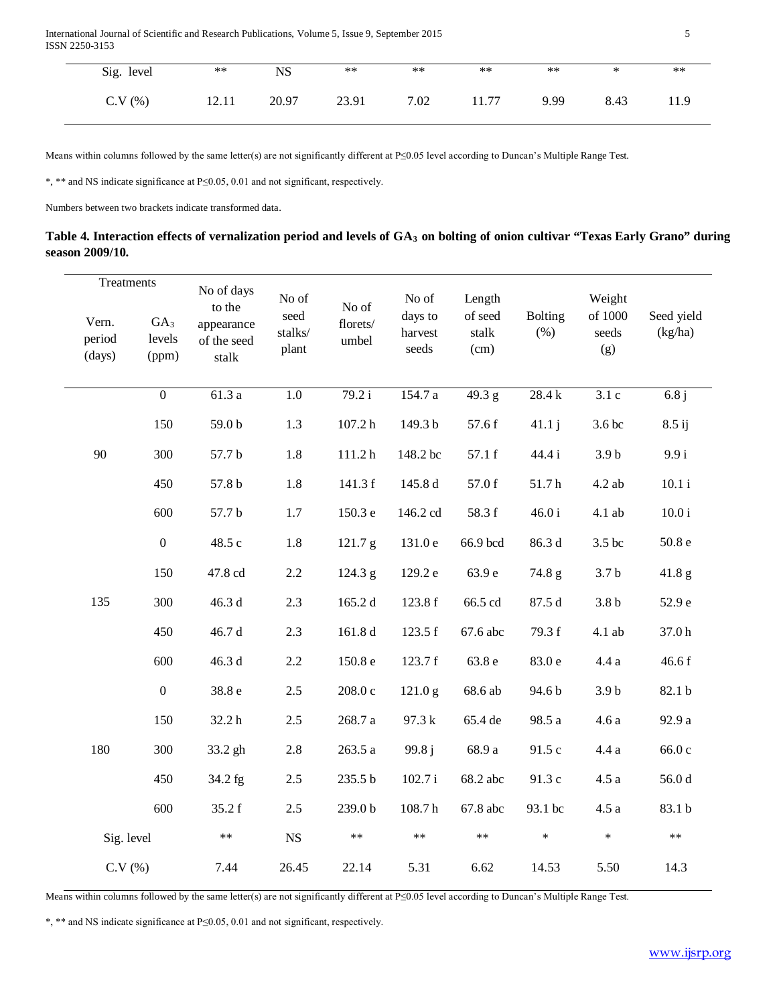International Journal of Scientific and Research Publications, Volume 5, Issue 9, September 2015 5 ISSN 2250-3153

| Sig. level | $***$ | NS    | $***$ | $***$ | $***$ | $***$ | ∗    | $***$ |
|------------|-------|-------|-------|-------|-------|-------|------|-------|
| C.V(%)     | 12.11 | 20.97 | 23.91 | 7.02  | 11.77 | 9.99  | 8.43 | 11.9  |

Means within columns followed by the same letter(s) are not significantly different at P≤0.05 level according to Duncan's Multiple Range Test.

\*, \*\* and NS indicate significance at P≤0.05, 0.01 and not significant, respectively.

Numbers between two brackets indicate transformed data.

| Table 4. Interaction effects of vernalization period and levels of GA <sub>3</sub> on bolting of onion cultivar "Texas Early Grano" during |  |
|--------------------------------------------------------------------------------------------------------------------------------------------|--|
| season 2009/10.                                                                                                                            |  |

| Treatments                |                                    | No of days                                   | No of                    |                            | No of                       | Length                   |                           | Weight                  |                       |
|---------------------------|------------------------------------|----------------------------------------------|--------------------------|----------------------------|-----------------------------|--------------------------|---------------------------|-------------------------|-----------------------|
| Vern.<br>period<br>(days) | GA <sub>3</sub><br>levels<br>(ppm) | to the<br>appearance<br>of the seed<br>stalk | seed<br>stalks/<br>plant | No of<br>florets/<br>umbel | days to<br>harvest<br>seeds | of seed<br>stalk<br>(cm) | <b>Bolting</b><br>$(\% )$ | of 1000<br>seeds<br>(g) | Seed yield<br>(kg/ha) |
|                           | $\overline{0}$                     | 61.3a                                        | $\overline{1.0}$         | 79.2 i                     | 154.7 a                     | $\overline{49.3}$ g      | 28.4k                     | 3.1c                    | 6.8j                  |
|                           | 150                                | 59.0 b                                       | 1.3                      | 107.2 h                    | 149.3 b                     | 57.6 f                   | 41.1j                     | 3.6 bc                  | 8.5 ij                |
| 90                        | 300                                | 57.7 b                                       | $1.8\,$                  | 111.2 <sub>h</sub>         | 148.2 bc                    | 57.1 f                   | 44.4 i                    | 3.9 <sub>b</sub>        | 9.9 i                 |
|                           | 450                                | $57.8\,\mathrm{b}$                           | $1.8\,$                  | 141.3 f                    | 145.8 d                     | 57.0 f                   | $51.7\,\mathrm{h}$        | $4.2$ ab                | $10.1\,\mathrm{i}$    |
|                           | 600                                | 57.7 b                                       | 1.7                      | 150.3 e                    | 146.2 cd                    | 58.3 f                   | $46.0i$                   | 4.1 ab                  | $10.0\,\mathrm{i}$    |
|                           | $\boldsymbol{0}$                   | 48.5 c                                       | 1.8                      | 121.7 g                    | 131.0 e                     | 66.9 bcd                 | 86.3 d                    | 3.5 bc                  | $50.8\,\mathrm{e}$    |
|                           | 150                                | 47.8 cd                                      | 2.2                      | 124.3 g                    | 129.2 e                     | 63.9 e                   | 74.8 g                    | 3.7 <sub>b</sub>        | $41.8\text{ g}$       |
| 135                       | 300                                | 46.3 d                                       | 2.3                      | 165.2 d                    | 123.8 f                     | 66.5 cd                  | 87.5 d                    | 3.8 <sub>b</sub>        | 52.9 e                |
|                           | 450                                | 46.7 d                                       | 2.3                      | 161.8 d                    | 123.5 f                     | 67.6 abc                 | 79.3 f                    | 4.1 ab                  | 37.0h                 |
|                           | 600                                | 46.3 d                                       | 2.2                      | 150.8 e                    | 123.7 f                     | 63.8 e                   | 83.0 e                    | 4.4a                    | 46.6 f                |
|                           | $\boldsymbol{0}$                   | 38.8 e                                       | 2.5                      | 208.0c                     | 121.0 g                     | 68.6 ab                  | 94.6 b                    | 3.9 <sub>b</sub>        | 82.1 b                |
|                           | 150                                | 32.2h                                        | $2.5$                    | $268.7\ \mathrm{a}$        | 97.3 k                      | 65.4 de                  | 98.5 a                    | 4.6a                    | 92.9 a                |
| 180                       | 300                                | 33.2 gh                                      | $2.8\,$                  | 263.5 a                    | 99.8j                       | 68.9 a                   | 91.5 c                    | 4.4a                    | 66.0 c                |
|                           | 450                                | 34.2 fg                                      | 2.5                      | 235.5 b                    | 102.7 i                     | 68.2 abc                 | 91.3 c                    | $4.5\ a$                | 56.0d                 |
|                           | 600                                | 35.2 f                                       | 2.5                      | 239.0b                     | 108.7 <sub>h</sub>          | 67.8 abc                 | 93.1 bc                   | $4.5\ a$                | 83.1 b                |
| Sig. level                |                                    | $**$                                         | <b>NS</b>                | $**$                       | $***$                       | $\ast\ast$               | $\ast$                    | $\ast$                  | $***$                 |
| C.V(%)                    |                                    | 7.44                                         | 26.45                    | 22.14                      | 5.31                        | 6.62                     | 14.53                     | 5.50                    | 14.3                  |

Means within columns followed by the same letter(s) are not significantly different at P≤0.05 level according to Duncan's Multiple Range Test.

\*, \*\* and NS indicate significance at P≤0.05, 0.01 and not significant, respectively.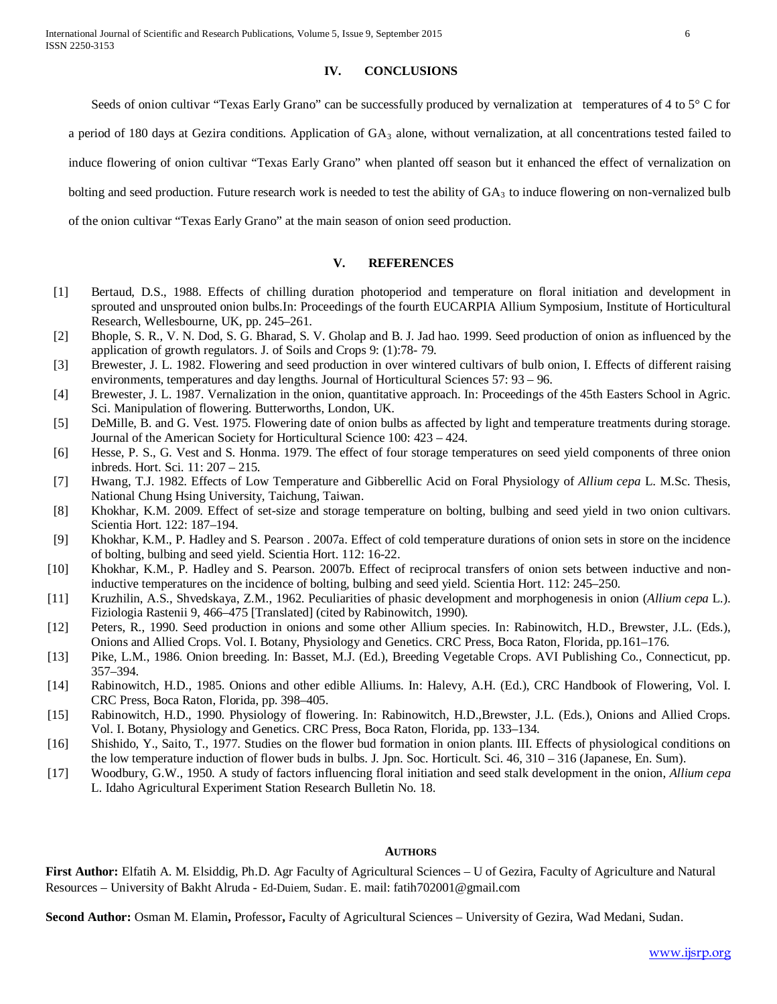## **IV. CONCLUSIONS**

Seeds of onion cultivar "Texas Early Grano" can be successfully produced by vernalization at temperatures of 4 to 5° C for

a period of 180 days at Gezira conditions. Application of  $GA_3$  alone, without vernalization, at all concentrations tested failed to

induce flowering of onion cultivar "Texas Early Grano" when planted off season but it enhanced the effect of vernalization on

bolting and seed production. Future research work is needed to test the ability of  $GA_3$  to induce flowering on non-vernalized bulb

of the onion cultivar "Texas Early Grano" at the main season of onion seed production.

# **V. REFERENCES**

- [1] Bertaud, D.S., 1988. Effects of chilling duration photoperiod and temperature on floral initiation and development in sprouted and unsprouted onion bulbs.In: Proceedings of the fourth EUCARPIA Allium Symposium, Institute of Horticultural Research, Wellesbourne, UK, pp. 245–261.
- [2] Bhople, S. R., V. N. Dod, S. G. Bharad, S. V. Gholap and B. J. Jad hao. 1999. Seed production of onion as influenced by the application of growth regulators. J. of Soils and Crops 9: (1):78- 79.
- [3] Brewester, J. L. 1982. Flowering and seed production in over wintered cultivars of bulb onion, I. Effects of different raising environments, temperatures and day lengths. Journal of Horticultural Sciences 57: 93 – 96.
- [4] Brewester, J. L. 1987. Vernalization in the onion, quantitative approach. In: Proceedings of the 45th Easters School in Agric. Sci. Manipulation of flowering. Butterworths, London, UK.
- [5] DeMille, B. and G. Vest. 1975. Flowering date of onion bulbs as affected by light and temperature treatments during storage. Journal of the American Society for Horticultural Science 100: 423 – 424.
- [6] Hesse, P. S., G. Vest and S. Honma. 1979. The effect of four storage temperatures on seed yield components of three onion inbreds. Hort. Sci. 11: 207 – 215.
- [7] Hwang, T.J. 1982. Effects of Low Temperature and Gibberellic Acid on Foral Physiology of *Allium cepa* L. M.Sc. Thesis, National Chung Hsing University, Taichung, Taiwan.
- [8] Khokhar, K.M. 2009. Effect of set-size and storage temperature on bolting, bulbing and seed yield in two onion cultivars. Scientia Hort. 122: 187–194.
- [9] Khokhar, K.M., P. Hadley and S. Pearson . 2007a. Effect of cold temperature durations of onion sets in store on the incidence of bolting, bulbing and seed yield. Scientia Hort. 112: 16-22.
- [10] Khokhar, K.M., P. Hadley and S. Pearson. 2007b. Effect of reciprocal transfers of onion sets between inductive and noninductive temperatures on the incidence of bolting, bulbing and seed yield. Scientia Hort. 112: 245–250.
- [11] Kruzhilin, A.S., Shvedskaya, Z.M., 1962. Peculiarities of phasic development and morphogenesis in onion (*Allium cepa* L.). Fiziologia Rastenii 9, 466–475 [Translated] (cited by Rabinowitch, 1990).
- [12] Peters, R., 1990. Seed production in onions and some other Allium species. In: Rabinowitch, H.D., Brewster, J.L. (Eds.), Onions and Allied Crops. Vol. I. Botany, Physiology and Genetics. CRC Press, Boca Raton, Florida, pp.161–176.
- [13] Pike, L.M., 1986. Onion breeding. In: Basset, M.J. (Ed.), Breeding Vegetable Crops. AVI Publishing Co., Connecticut, pp. 357–394.
- [14] Rabinowitch, H.D., 1985. Onions and other edible Alliums. In: Halevy, A.H. (Ed.), CRC Handbook of Flowering, Vol. I. CRC Press, Boca Raton, Florida, pp. 398–405.
- [15] Rabinowitch, H.D., 1990. Physiology of flowering. In: Rabinowitch, H.D.,Brewster, J.L. (Eds.), Onions and Allied Crops. Vol. I. Botany, Physiology and Genetics. CRC Press, Boca Raton, Florida, pp. 133–134.
- [16] Shishido, Y., Saito, T., 1977. Studies on the flower bud formation in onion plants. III. Effects of physiological conditions on the low temperature induction of flower buds in bulbs. J. Jpn. Soc. Horticult. Sci. 46, 310 – 316 (Japanese, En. Sum).
- [17] Woodbury, G.W., 1950. A study of factors influencing floral initiation and seed stalk development in the onion, *Allium cepa* L. Idaho Agricultural Experiment Station Research Bulletin No. 18.

#### **AUTHORS**

**First Author:** Elfatih A. M. Elsiddig, Ph.D. Agr Faculty of Agricultural Sciences – U of Gezira, Faculty of Agriculture and Natural Resources – University of Bakht Alruda - Ed-Duiem, Sudan. . E. mail: fatih702001@gmail.com

**Second Author:** Osman M. Elamin**,** Professor**,** Faculty of Agricultural Sciences – University of Gezira, Wad Medani, Sudan.